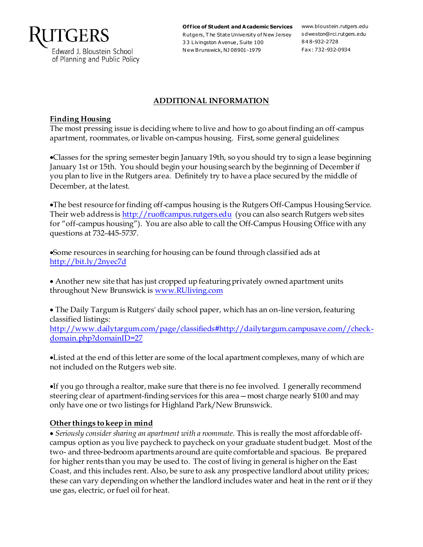

Edward J. Bloustein School of Planning and Public Policy

Office of Student and Academic Services www.bloustein.rutgers.edu Rutgers, T he State University of N ew Jersey s dweston@rci.rutgers.edu 3 3 Livingston Avenue, Suite 100 N ew Brunswick, NJ 08901-1979

848-932-2728 Fax: 732-932-0934

### **ADDITIONAL INFORMATION**

#### **Finding Housing**

The most pressing issue is deciding where to live and how to go about finding an off-campus apartment, roommates, or livable on-campus housing. First, some general guidelines:

Classes for the spring semester begin January 19th, so you should try to sign a lease beginning January 1st or 15th. You should begin your housing search by the beginning of Decemberif you plan to live in the Rutgers area. Definitely try to have a place secured by the middle of December, at the latest.

The best resource for finding off-campus housing is the Rutgers Off-Campus Housing Service. Their web address i[s http://ruoffcampus.rutgers.edu](http://ruoffcampus.rutgers.edu/) (you can also search Rutgers web sites for "off-campus housing"). You are also able to call the Off-Campus Housing Office with any questions at 732-445-5737.

Some resources in searching for housing can be found through classified ads at <http://bit.ly/2nyec7d>

 Another new site that has just cropped up featuring privately owned apartment units throughout New Brunswick i[s www.RUliving.com](http://www.ruliving.com/)

 The Daily Targum is Rutgers' daily school paper, which has an on-line version, featuring classified listings: [http://www.dailytargum.com/page/classifieds#http://dailytargum.campusave.com//check](http://www.dailytargum.com/page/classifieds#http://dailytargum.campusave.com//check-domain.php?domainID=27)[domain.php?domainID=27](http://www.dailytargum.com/page/classifieds#http://dailytargum.campusave.com//check-domain.php?domainID=27)

Listed at the end of this letter are some of the local apartment complexes, many of which are not included on the Rutgers web site.

If you go through a realtor, make sure that there is no fee involved. I generally recommend steering clear of apartment-finding services for this area—most charge nearly \$100 and may only have one or two listings for Highland Park/New Brunswick.

### **Other things to keep in mind**

 *Seriously consider sharing an apartment with a roommate*. This is really the most affordable offcampus option as you live paycheck to paycheck on your graduate student budget. Most of the two- and three-bedroom apartments around are quite comfortable and spacious. Be prepared for higher rents than you may be used to. The cost of living in general is higher on the East Coast, and this includes rent. Also, be sure to ask any prospective landlord about utility prices; these can vary depending on whether the landlord includes water and heat in the rent or if they use gas, electric, or fuel oil for heat.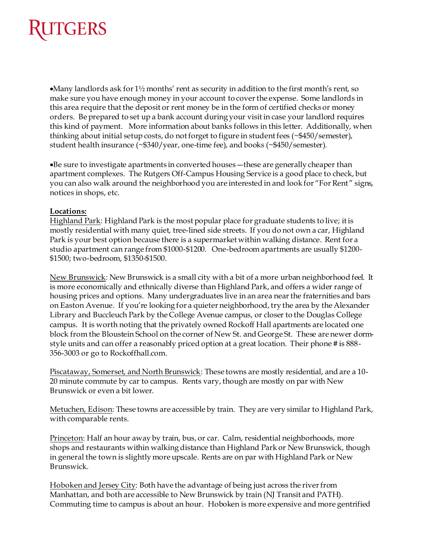

• Many landlords ask for  $1\frac{1}{2}$  months' rent as security in addition to the first month's rent, so make sure you have enough money in your account to cover the expense. Some landlords in this area require that the deposit or rent money be in the form of certified checks or money orders. Be prepared to set up a bank account during your visit in case your landlord requires this kind of payment. More information about banks follows in this letter. Additionally, when thinking about initial setup costs, do not forget to figure in student fees (~\$450/semester), student health insurance (~\$340/year, one-time fee), and books (~\$450/semester).

Be sure to investigate apartments in converted houses—these are generally cheaper than apartment complexes. The Rutgers Off-Campus Housing Service is a good place to check, but you can also walk around the neighborhood you are interested in and look for "For Rent" signs, notices in shops, etc.

#### **Locations:**

Highland Park: Highland Park is the most popular place for graduate students to live; it is mostly residential with many quiet, tree-lined side streets. If you do not own a car, Highland Park is your best option because there is a supermarket within walking distance. Rent for a studio apartment can range from \$1000-\$1200. One-bedroom apartments are usually \$1200- \$1500; two-bedroom, \$1350-\$1500.

New Brunswick: New Brunswick is a small city with a bit of a more urban neighborhood feel. It is more economically and ethnically diverse than Highland Park, and offers a wider range of housing prices and options. Many undergraduates live in an area near the fraternities and bars on Easton Avenue. If you're looking for a quieter neighborhood, try the area by the Alexander Library and Buccleuch Park by the College Avenue campus, or closer to the Douglas College campus. It is worth noting that the privately owned Rockoff Hall apartments are located one block from the Bloustein School on the corner of New St. and George St. These are newer dormstyle units and can offer a reasonably priced option at a great location. Their phone # is 888- 356-3003 or go to Rockoffhall.com.

Piscataway, Somerset, and North Brunswick: These towns are mostly residential, and are a 10-20 minute commute by car to campus. Rents vary, though are mostly on par with New Brunswick or even a bit lower.

Metuchen, Edison: These towns are accessible by train. They are very similar to Highland Park, with comparable rents.

Princeton: Half an hour away by train, bus, or car. Calm, residential neighborhoods, more shops and restaurants within walking distance than Highland Park or New Brunswick, though in general the town is slightly more upscale. Rents are on par with Highland Park or New Brunswick.

Hoboken and Jersey City: Both have the advantage of being just across the river from Manhattan, and both are accessible to New Brunswick by train (NJ Transit and PATH). Commuting time to campus is about an hour. Hoboken is more expensive and more gentrified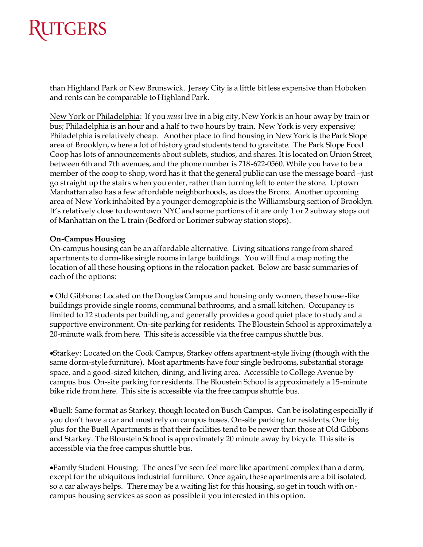# RUTGERS

than Highland Park or New Brunswick. Jersey City is a little bit less expensive than Hoboken and rents can be comparable to Highland Park.

New York or Philadelphia: If you *must* live in a big city, New York is an hour away by train or bus; Philadelphia is an hour and a half to two hours by train. New York is very expensive; Philadelphia is relatively cheap. Another place to find housing in New York is the Park Slope area of Brooklyn, where a lot of history grad students tend to gravitate. The Park Slope Food Coop has lots of announcements about sublets, studios, and shares. It is located on Union Street, between 6th and 7th avenues, and the phone number is 718-622-0560. While you have to be a member of the coop to shop, word has it that the general public can use the message board--just go straight up the stairs when you enter, rather than turning left to enter the store. Uptown Manhattan also has a few affordable neighborhoods, as does the Bronx. Another upcoming area of New York inhabited by a younger demographic is the Williamsburg section of Brooklyn. It's relatively close to downtown NYC and some portions of it are only 1 or 2 subway stops out of Manhattan on the L train (Bedford or Lorimer subway station stops).

#### **On-Campus Housing**

On-campus housing can be an affordable alternative. Living situations range from shared apartments to dorm-like single rooms in large buildings. You will find a map noting the location of all these housing options in the relocation packet. Below are basic summaries of each of the options:

 Old Gibbons: Located on the Douglas Campus and housing only women, these house-like buildings provide single rooms, communal bathrooms, and a small kitchen. Occupancy is limited to 12 students per building, and generally provides a good quiet place to study and a supportive environment. On-site parking for residents. The Bloustein School is approximately a 20-minute walk from here. This site is accessible via the free campus shuttle bus.

Starkey: Located on the Cook Campus, Starkey offers apartment-style living (though with the same dorm-style furniture). Most apartments have four single bedrooms, substantial storage space, and a good-sized kitchen, dining, and living area. Accessible to College Avenue by campus bus. On-site parking for residents. The Bloustein School is approximately a 15-minute bike ride from here. This site is accessible via the free campus shuttle bus.

Buell: Same format as Starkey, though located on Busch Campus. Can be isolating especially if you don't have a car and must rely on campus buses. On-site parking for residents. One big plus for the Buell Apartments is that their facilities tend to be newer than those at Old Gibbons and Starkey. The Bloustein School is approximately 20 minute away by bicycle. This site is accessible via the free campus shuttle bus.

Family Student Housing: The ones I've seen feel more like apartment complex than a dorm, except for the ubiquitous industrial furniture. Once again, these apartments are a bit isolated, so a car always helps. There may be a waiting list for this housing, so get in touch with oncampus housing services as soon as possible if you interested in this option.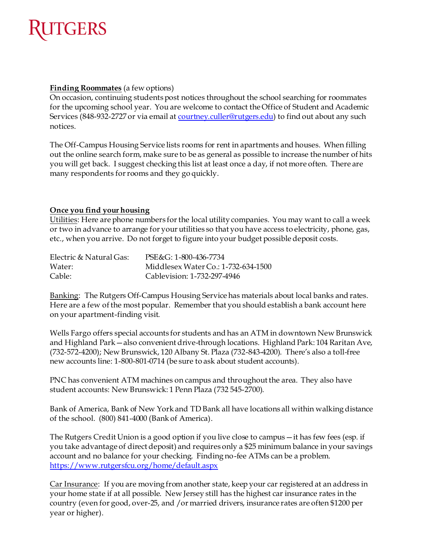

#### **Finding Roommates** (a few options)

On occasion, continuing students post notices throughout the school searching for roommates for the upcoming school year. You are welcome to contact the Office of Student and Academic Services (848-932-2727 or via email at [courtney.culler@rutgers.edu\)](mailto:courtney.culler@rutgers.edu) to find out about any such notices.

The Off-Campus Housing Service lists rooms for rent in apartments and houses. When filling out the online search form, make sure to be as general as possible to increase the number of hits you will get back. I suggest checking this list at least once a day, if not more often. There are many respondents for rooms and they go quickly.

#### **Once you find your housing**

Utilities: Here are phone numbers for the local utility companies. You may want to call a week or two in advance to arrange for your utilities so that you have access to electricity, phone, gas, etc., when you arrive. Do not forget to figure into your budget possible deposit costs.

| Electric & Natural Gas: | PSE&G: 1-800-436-7734               |
|-------------------------|-------------------------------------|
| Water:                  | Middlesex Water Co.: 1-732-634-1500 |
| Cable:                  | Cablevision: 1-732-297-4946         |

Banking: The Rutgers Off-Campus Housing Service has materials about local banks and rates. Here are a few of the most popular. Remember that you should establish a bank account here on your apartment-finding visit.

Wells Fargo offers special accounts for students and has an ATM in downtown New Brunswick and Highland Park—also convenient drive-through locations. Highland Park: 104 Raritan Ave, (732-572-4200); New Brunswick, 120 Albany St. Plaza (732-843-4200). There's also a toll-free new accounts line: 1-800-801-0714 (be sure to ask about student accounts).

PNC has convenient ATM machines on campus and throughout the area. They also have student accounts: New Brunswick: 1 Penn Plaza (732 545-2700).

Bank of America, Bank of New York and TD Bank all have locations all within walking distance of the school. (800) 841-4000 (Bank of America).

The Rutgers Credit Union is a good option if you live close to campus—it has few fees (esp. if you take advantage of direct deposit) and requires only a \$25 minimum balance in your savings account and no balance for your checking. Finding no-fee ATMs can be a problem. <https://www.rutgersfcu.org/home/default.aspx>

Car Insurance: If you are moving from another state, keep your car registered at an address in your home state if at all possible. New Jersey still has the highest car insurance rates in the country (even for good, over-25, and /or married drivers, insurance rates are often \$1200 per year or higher).